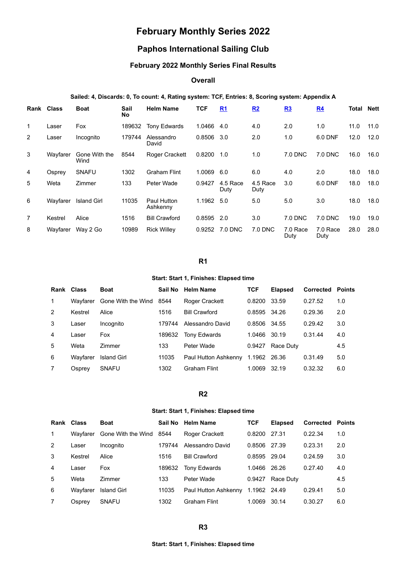# **February Monthly Series 2022**

## **Paphos International Sailing Club**

## **February 2022 Monthly Series Final Results**

## **Overall**

## **Sailed: 4, Discards: 0, To count: 4, Rating system: TCF, Entries: 8, Scoring system: Appendix A**

|                | Rank Class | <b>Boat</b>           | Sail<br><b>No</b> | <b>Helm Name</b>        | <b>TCF</b> | R <sub>1</sub>   | R2               | R3               | R <sub>4</sub>   | Total | <b>Nett</b> |
|----------------|------------|-----------------------|-------------------|-------------------------|------------|------------------|------------------|------------------|------------------|-------|-------------|
| $\mathbf{1}$   | Laser      | Fox                   | 189632            | <b>Tony Edwards</b>     | 1.0466     | 4.0              | 4.0              | 2.0              | 1.0              | 11.0  | 11.0        |
| $\overline{2}$ | Laser      | Incognito             | 179744            | Alessandro<br>David     | 0.8506     | 3.0              | 2.0              | 1.0              | 6.0 DNF          | 12.0  | 12.0        |
| 3              | Wayfarer   | Gone With the<br>Wind | 8544              | <b>Roger Crackett</b>   | 0.8200     | 1.0              | 1.0              | 7.0 DNC          | 7.0 DNC          | 16.0  | 16.0        |
| 4              | Osprey     | <b>SNAFU</b>          | 1302              | <b>Graham Flint</b>     | 1.0069     | 6.0              | 6.0              | 4.0              | 2.0              | 18.0  | 18.0        |
| 5              | Weta       | Zimmer                | 133               | Peter Wade              | 0.9427     | 4.5 Race<br>Duty | 4.5 Race<br>Duty | 3.0              | 6.0 DNF          | 18.0  | 18.0        |
| 6              | Wayfarer   | <b>Island Girl</b>    | 11035             | Paul Hutton<br>Ashkenny | 1.1962     | 5.0              | 5.0              | 5.0              | 3.0              | 18.0  | 18.0        |
| $\overline{7}$ | Kestrel    | Alice                 | 1516              | <b>Bill Crawford</b>    | 0.8595     | 2.0              | 3.0              | 7.0 DNC          | 7.0 DNC          | 19.0  | 19.0        |
| 8              | Wayfarer   | Way 2 Go              | 10989             | <b>Rick Willey</b>      | 0.9252     | 7.0 DNC          | 7.0 DNC          | 7.0 Race<br>Duty | 7.0 Race<br>Duty | 28.0  | 28.0        |

## **R1**

#### **Start: Start 1, Finishes: Elapsed time**

<span id="page-0-0"></span>

| Rank Class   |          | <b>Boat</b>             | Sail No | <b>Helm Name</b>     | <b>TCF</b>   | <b>Elapsed</b> | Corrected | Points |
|--------------|----------|-------------------------|---------|----------------------|--------------|----------------|-----------|--------|
| $\mathbf{1}$ | Wavfarer | Gone With the Wind 8544 |         | Roger Crackett       | 0.8200       | 33.59          | 0.27.52   | 1.0    |
| 2            | Kestrel  | Alice                   | 1516    | <b>Bill Crawford</b> | 0.8595       | 34.26          | 0.29.36   | 2.0    |
| 3            | Laser    | Incognito               | 179744  | Alessandro David     | 0.8506       | 34.55          | 0.29.42   | 3.0    |
| 4            | Laser    | Fox                     | 189632  | <b>Tony Edwards</b>  | 1.0466       | 30.19          | 0.31.44   | 4.0    |
| 5            | Weta     | <b>Zimmer</b>           | 133     | Peter Wade           | 0.9427       | Race Duty      |           | 4.5    |
| 6            | Wavfarer | <b>Island Girl</b>      | 11035   | Paul Hutton Ashkenny | 1.1962 26.36 |                | 0.31.49   | 5.0    |
|              | Osprey   | <b>SNAFU</b>            | 1302    | <b>Graham Flint</b>  | 1.0069       | 32.19          | 0.32.32   | 6.0    |

## **R2**

#### **Start: Start 1, Finishes: Elapsed time**

<span id="page-0-2"></span><span id="page-0-1"></span>

|               | Rank Class | <b>Boat</b>             |        | Sail No Helm Name    | <b>TCF</b>   | <b>Elapsed</b> | <b>Corrected Points</b> |     |
|---------------|------------|-------------------------|--------|----------------------|--------------|----------------|-------------------------|-----|
| $\mathbf{1}$  | Wavfarer   | Gone With the Wind 8544 |        | Roger Crackett       | 0.8200       | 27.31          | 0.22.34                 | 1.0 |
| $\mathcal{P}$ | Laser      | Incognito               | 179744 | Alessandro David     | 0.8506       | 27.39          | 0.23.31                 | 2.0 |
| 3             | Kestrel    | Alice                   | 1516   | <b>Bill Crawford</b> | 0.8595       | 29.04          | 0.24.59                 | 3.0 |
| 4             | Laser      | Fox                     | 189632 | <b>Tony Edwards</b>  | 1.0466       | 26.26          | 0.27.40                 | 4.0 |
| 5             | Weta       | <b>Zimmer</b>           | 133    | Peter Wade           | 0.9427       | Race Duty      |                         | 4.5 |
| 6             | Wavfarer   | <b>Island Girl</b>      | 11035  | Paul Hutton Ashkenny | 1.1962 24.49 |                | 0.29.41                 | 5.0 |
|               | Osprey     | <b>SNAFU</b>            | 1302   | Graham Flint         | 1.0069       | 30.14          | 0.30.27                 | 6.0 |